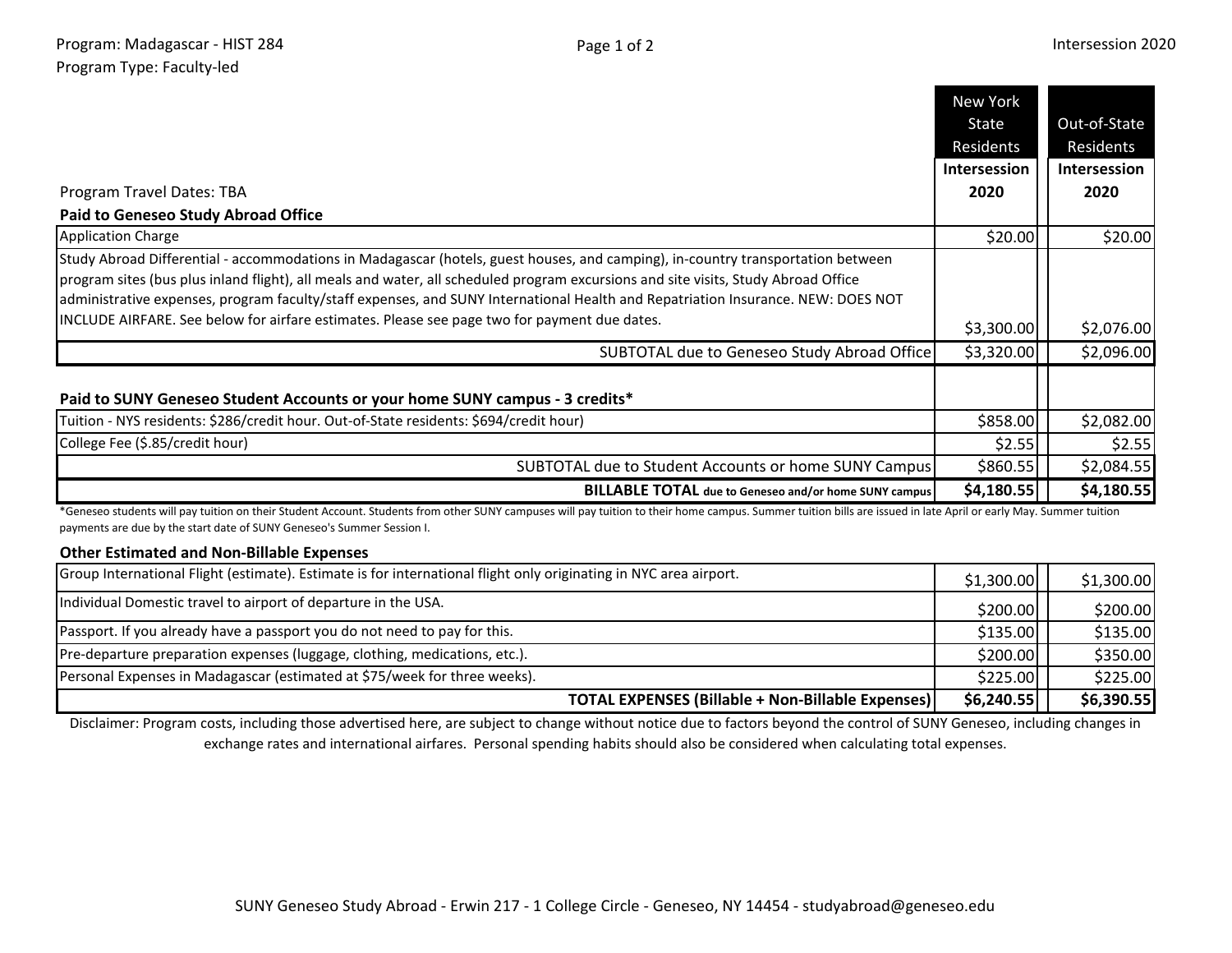|                                                                                                                                                                                                                                                                                                                                                                                                           | <b>New York</b>     |                           |
|-----------------------------------------------------------------------------------------------------------------------------------------------------------------------------------------------------------------------------------------------------------------------------------------------------------------------------------------------------------------------------------------------------------|---------------------|---------------------------|
|                                                                                                                                                                                                                                                                                                                                                                                                           | State<br>Residents  | Out-of-State<br>Residents |
|                                                                                                                                                                                                                                                                                                                                                                                                           | <b>Intersession</b> | <b>Intersession</b>       |
| Program Travel Dates: TBA                                                                                                                                                                                                                                                                                                                                                                                 | 2020                | 2020                      |
| <b>Paid to Geneseo Study Abroad Office</b>                                                                                                                                                                                                                                                                                                                                                                |                     |                           |
| <b>Application Charge</b>                                                                                                                                                                                                                                                                                                                                                                                 | \$20.00             | \$20.00                   |
| Study Abroad Differential - accommodations in Madagascar (hotels, guest houses, and camping), in-country transportation between<br>program sites (bus plus inland flight), all meals and water, all scheduled program excursions and site visits, Study Abroad Office<br>administrative expenses, program faculty/staff expenses, and SUNY International Health and Repatriation Insurance. NEW: DOES NOT |                     |                           |
| INCLUDE AIRFARE. See below for airfare estimates. Please see page two for payment due dates.                                                                                                                                                                                                                                                                                                              | \$3,300.00          | \$2,076.00                |
| SUBTOTAL due to Geneseo Study Abroad Office                                                                                                                                                                                                                                                                                                                                                               | \$3,320.00          | \$2,096.00                |
| Paid to SUNY Geneseo Student Accounts or your home SUNY campus - 3 credits*                                                                                                                                                                                                                                                                                                                               |                     |                           |
| Tuition - NYS residents: \$286/credit hour. Out-of-State residents: \$694/credit hour)                                                                                                                                                                                                                                                                                                                    | \$858.00            | \$2,082.00                |
| College Fee (\$.85/credit hour)                                                                                                                                                                                                                                                                                                                                                                           | \$2.55              | \$2.55                    |
| SUBTOTAL due to Student Accounts or home SUNY Campus                                                                                                                                                                                                                                                                                                                                                      | \$860.55            | \$2,084.55                |
| <b>BILLABLE TOTAL</b> due to Geneseo and/or home SUNY campus                                                                                                                                                                                                                                                                                                                                              | \$4,180.55          | \$4,180.55                |
| *Geneseo students will pay tuition on their Student Account. Students from other SUNY campuses will pay tuition to their home campus. Summer tuition bills are issued in late April or early May. Summer tuition                                                                                                                                                                                          |                     |                           |

\*Geneseo students will pay tuition on their Student Account. Students from other SUNY campuses will pay tuition to their home campus. Summer tuition bills are issued in late April or early May. Summer tuition payments are due by the start date of SUNY Geneseo's Summer Session I.

## **Other Estimated and Non-Billable Expenses**

|                                                                                                                   | <b>TOTAL EXPENSES (Billable + Non-Billable Expenses)</b> | \$6,240.55 | \$6,390.55 |
|-------------------------------------------------------------------------------------------------------------------|----------------------------------------------------------|------------|------------|
| Personal Expenses in Madagascar (estimated at \$75/week for three weeks).                                         |                                                          | \$225.00   | \$225.00   |
| Pre-departure preparation expenses (luggage, clothing, medications, etc.).                                        |                                                          | \$200.00   | \$350.00   |
| Passport. If you already have a passport you do not need to pay for this.                                         |                                                          | \$135.00   | \$135.00   |
| Individual Domestic travel to airport of departure in the USA.                                                    |                                                          | \$200.00]  | \$200.00]  |
| Group International Flight (estimate). Estimate is for international flight only originating in NYC area airport. |                                                          | \$1,300.00 | \$1,300.00 |

Disclaimer: Program costs, including those advertised here, are subject to change without notice due to factors beyond the control of SUNY Geneseo, including changes in exchange rates and international airfares. Personal spending habits should also be considered when calculating total expenses.